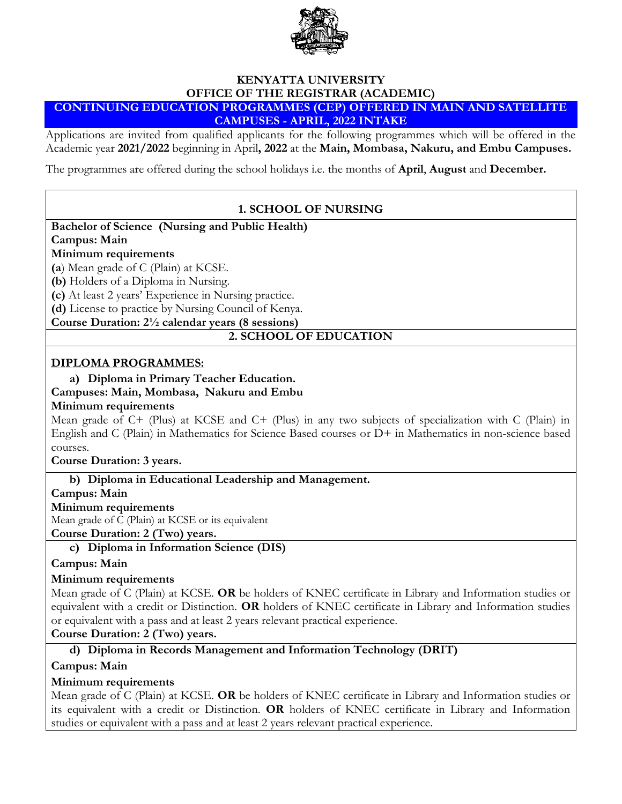

#### **KENYATTA UNIVERSITY OFFICE OF THE REGISTRAR (ACADEMIC) CONTINUING EDUCATION PROGRAMMES (CEP) OFFERED IN MAIN AND SATELLITE CAMPUSES - APRIL, 2022 INTAKE**

Applications are invited from qualified applicants for the following programmes which will be offered in the Academic year **2021/2022** beginning in April**, 2022** at the **Main, Mombasa, Nakuru, and Embu Campuses.**

The programmes are offered during the school holidays i.e. the months of **April**, **August** and **December.**

# **1. SCHOOL OF NURSING**

**Bachelor of Science (Nursing and Public Health)**

**Campus: Main** 

### **Minimum requirements**

**(a**) Mean grade of C (Plain) at KCSE.

**(b)** Holders of a Diploma in Nursing.

**(c)** At least 2 years' Experience in Nursing practice.

**(d)** License to practice by Nursing Council of Kenya.

**Course Duration: 2½ calendar years (8 sessions)**

# **2. SCHOOL OF EDUCATION**

### **DIPLOMA PROGRAMMES:**

### **a) Diploma in Primary Teacher Education.**

#### **Campuses: Main, Mombasa, Nakuru and Embu**

### **Minimum requirements**

Mean grade of C+ (Plus) at KCSE and C+ (Plus) in any two subjects of specialization with C (Plain) in English and C (Plain) in Mathematics for Science Based courses or D+ in Mathematics in non-science based courses.

**Course Duration: 3 years.**

**b) Diploma in Educational Leadership and Management.**

### **Campus: Main**

### **Minimum requirements**

Mean grade of C (Plain) at KCSE or its equivalent

**Course Duration: 2 (Two) years.**

# **c) Diploma in Information Science (DIS)**

### **Campus: Main**

### **Minimum requirements**

Mean grade of C (Plain) at KCSE. **OR** be holders of KNEC certificate in Library and Information studies or equivalent with a credit or Distinction. **OR** holders of KNEC certificate in Library and Information studies or equivalent with a pass and at least 2 years relevant practical experience.

### **Course Duration: 2 (Two) years.**

# **d) Diploma in Records Management and Information Technology (DRIT)**

# **Campus: Main**

# **Minimum requirements**

Mean grade of C (Plain) at KCSE. **OR** be holders of KNEC certificate in Library and Information studies or its equivalent with a credit or Distinction. **OR** holders of KNEC certificate in Library and Information studies or equivalent with a pass and at least 2 years relevant practical experience.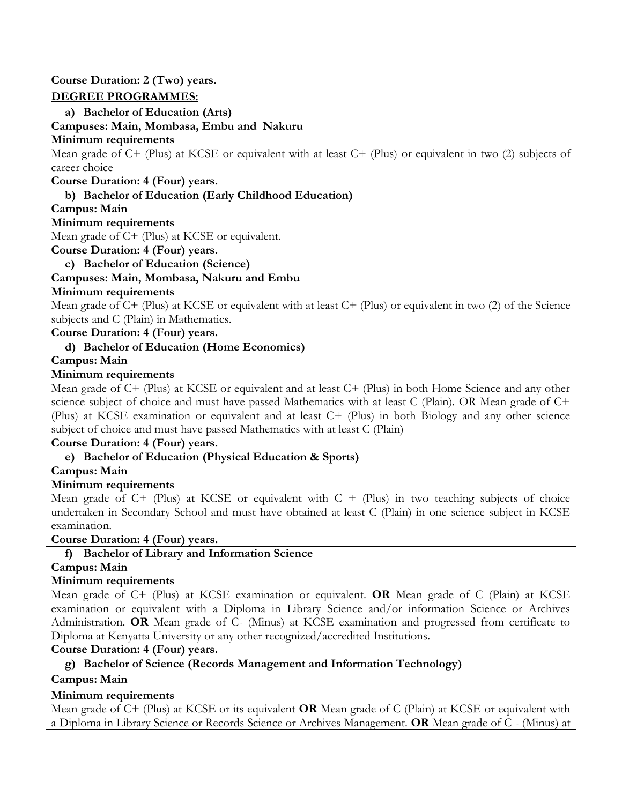**Course Duration: 2 (Two) years.**

### **DEGREE PROGRAMMES:**

**a) Bachelor of Education (Arts)** 

**Campuses: Main, Mombasa, Embu and Nakuru** 

### **Minimum requirements**

Mean grade of C+ (Plus) at KCSE or equivalent with at least C+ (Plus) or equivalent in two (2) subjects of career choice

**Course Duration: 4 (Four) years.**

# **b) Bachelor of Education (Early Childhood Education)**

### **Campus: Main**

### **Minimum requirements**

Mean grade of C+ (Plus) at KCSE or equivalent.

### **Course Duration: 4 (Four) years.**

**c) Bachelor of Education (Science)**

# **Campuses: Main, Mombasa, Nakuru and Embu**

### **Minimum requirements**

Mean grade of C+ (Plus) at KCSE or equivalent with at least C+ (Plus) or equivalent in two (2) of the Science subjects and C (Plain) in Mathematics.

# **Course Duration: 4 (Four) years.**

# **d) Bachelor of Education (Home Economics)**

### **Campus: Main**

# **Minimum requirements**

Mean grade of C+ (Plus) at KCSE or equivalent and at least C+ (Plus) in both Home Science and any other science subject of choice and must have passed Mathematics with at least C (Plain). OR Mean grade of C+ (Plus) at KCSE examination or equivalent and at least C+ (Plus) in both Biology and any other science subject of choice and must have passed Mathematics with at least C (Plain)

# **Course Duration: 4 (Four) years.**

**e) Bachelor of Education (Physical Education & Sports)**

# **Campus: Main**

# **Minimum requirements**

Mean grade of  $C+$  (Plus) at KCSE or equivalent with  $C +$  (Plus) in two teaching subjects of choice undertaken in Secondary School and must have obtained at least C (Plain) in one science subject in KCSE examination.

**Course Duration: 4 (Four) years.**

# **f) Bachelor of Library and Information Science**

# **Campus: Main**

# **Minimum requirements**

Mean grade of C+ (Plus) at KCSE examination or equivalent. **OR** Mean grade of C (Plain) at KCSE examination or equivalent with a Diploma in Library Science and/or information Science or Archives Administration. **OR** Mean grade of C- (Minus) at KCSE examination and progressed from certificate to Diploma at Kenyatta University or any other recognized/accredited Institutions.

# **Course Duration: 4 (Four) years.**

**g) Bachelor of Science (Records Management and Information Technology)**

# **Campus: Main**

# **Minimum requirements**

Mean grade of C+ (Plus) at KCSE or its equivalent **OR** Mean grade of C (Plain) at KCSE or equivalent with a Diploma in Library Science or Records Science or Archives Management. **OR** Mean grade of C - (Minus) at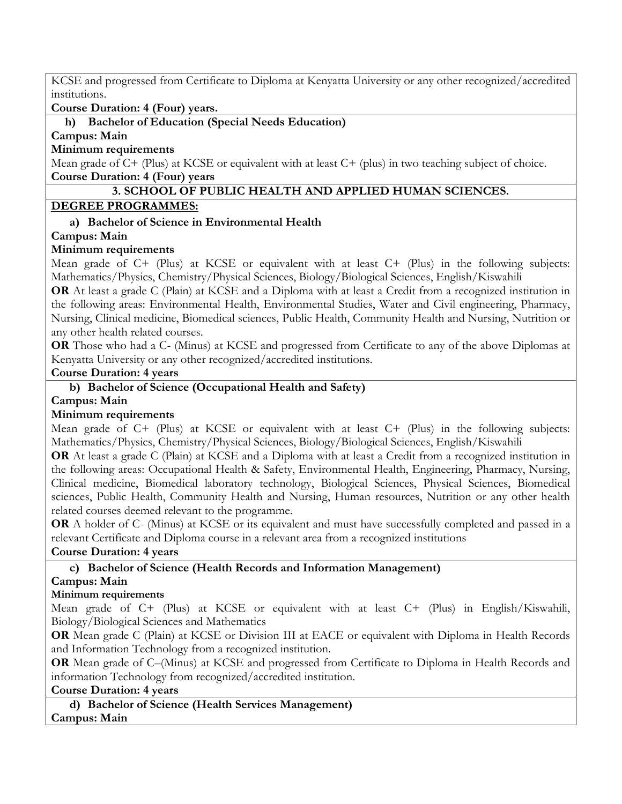KCSE and progressed from Certificate to Diploma at Kenyatta University or any other recognized/accredited institutions.

**Course Duration: 4 (Four) years.**

### **h) Bachelor of Education (Special Needs Education)**

**Campus: Main**

**Minimum requirements**

Mean grade of C+ (Plus) at KCSE or equivalent with at least C+ (plus) in two teaching subject of choice. **Course Duration: 4 (Four) years**

### **3. SCHOOL OF PUBLIC HEALTH AND APPLIED HUMAN SCIENCES.**

### **DEGREE PROGRAMMES:**

# **a) Bachelor of Science in Environmental Health**

### **Campus: Main**

### **Minimum requirements**

Mean grade of C+ (Plus) at KCSE or equivalent with at least C+ (Plus) in the following subjects: Mathematics/Physics, Chemistry/Physical Sciences, Biology/Biological Sciences, English/Kiswahili

**OR** At least a grade C (Plain) at KCSE and a Diploma with at least a Credit from a recognized institution in the following areas: Environmental Health, Environmental Studies, Water and Civil engineering, Pharmacy, Nursing, Clinical medicine, Biomedical sciences, Public Health, Community Health and Nursing, Nutrition or any other health related courses.

**OR** Those who had a C- (Minus) at KCSE and progressed from Certificate to any of the above Diplomas at Kenyatta University or any other recognized/accredited institutions.

**Course Duration: 4 years**

# **b) Bachelor of Science (Occupational Health and Safety)**

### **Campus: Main**

### **Minimum requirements**

Mean grade of C+ (Plus) at KCSE or equivalent with at least C+ (Plus) in the following subjects: Mathematics/Physics, Chemistry/Physical Sciences, Biology/Biological Sciences, English/Kiswahili

**OR** At least a grade C (Plain) at KCSE and a Diploma with at least a Credit from a recognized institution in the following areas: Occupational Health & Safety, Environmental Health, Engineering, Pharmacy, Nursing, Clinical medicine, Biomedical laboratory technology, Biological Sciences, Physical Sciences, Biomedical sciences, Public Health, Community Health and Nursing, Human resources, Nutrition or any other health related courses deemed relevant to the programme.

**OR** A holder of C- (Minus) at KCSE or its equivalent and must have successfully completed and passed in a relevant Certificate and Diploma course in a relevant area from a recognized institutions

**Course Duration: 4 years** 

# **c) Bachelor of Science (Health Records and Information Management)**

# **Campus: Main**

# **Minimum requirements**

Mean grade of C+ (Plus) at KCSE or equivalent with at least C+ (Plus) in English/Kiswahili, Biology/Biological Sciences and Mathematics

**OR** Mean grade C (Plain) at KCSE or Division III at EACE or equivalent with Diploma in Health Records and Information Technology from a recognized institution.

**OR** Mean grade of C–(Minus) at KCSE and progressed from Certificate to Diploma in Health Records and information Technology from recognized/accredited institution.

### **Course Duration: 4 years**

**d) Bachelor of Science (Health Services Management) Campus: Main**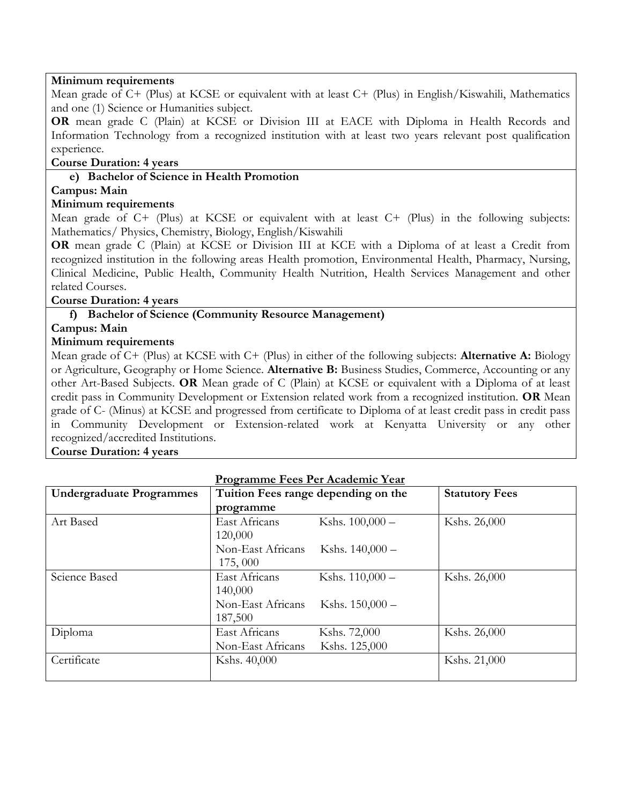### **Minimum requirements**

Mean grade of C+ (Plus) at KCSE or equivalent with at least C+ (Plus) in English/Kiswahili, Mathematics and one (1) Science or Humanities subject.

**OR** mean grade C (Plain) at KCSE or Division III at EACE with Diploma in Health Records and Information Technology from a recognized institution with at least two years relevant post qualification experience.

### **Course Duration: 4 years**

### **e) Bachelor of Science in Health Promotion**

### **Campus: Main**

### **Minimum requirements**

Mean grade of C+ (Plus) at KCSE or equivalent with at least C+ (Plus) in the following subjects: Mathematics/ Physics, Chemistry, Biology, English/Kiswahili

**OR** mean grade C (Plain) at KCSE or Division III at KCE with a Diploma of at least a Credit from recognized institution in the following areas Health promotion, Environmental Health, Pharmacy, Nursing, Clinical Medicine, Public Health, Community Health Nutrition, Health Services Management and other related Courses.

#### **Course Duration: 4 years**

### **f) Bachelor of Science (Community Resource Management)**

**Campus: Main** 

#### **Minimum requirements**

Mean grade of C+ (Plus) at KCSE with C+ (Plus) in either of the following subjects: **Alternative A:** Biology or Agriculture, Geography or Home Science. **Alternative B:** Business Studies, Commerce, Accounting or any other Art-Based Subjects. **OR** Mean grade of C (Plain) at KCSE or equivalent with a Diploma of at least credit pass in Community Development or Extension related work from a recognized institution. **OR** Mean grade of C- (Minus) at KCSE and progressed from certificate to Diploma of at least credit pass in credit pass in Community Development or Extension-related work at Kenyatta University or any other recognized/accredited Institutions.

#### **Course Duration: 4 years**

| Programme Fees Per Academic Year |  |  |
|----------------------------------|--|--|
|                                  |  |  |

| <b>Undergraduate Programmes</b> | Tuition Fees range depending on the | <b>Statutory Fees</b> |              |
|---------------------------------|-------------------------------------|-----------------------|--------------|
|                                 | programme                           |                       |              |
| Art Based                       | East Africans                       | Kshs. $100,000 -$     | Kshs. 26,000 |
|                                 | 120,000                             |                       |              |
|                                 | Non-East Africans                   | Kshs. $140,000 -$     |              |
|                                 | 175,000                             |                       |              |
| Science Based                   | East Africans                       | Kshs. 110,000 -       | Kshs. 26,000 |
|                                 | 140,000                             |                       |              |
|                                 | Non-East Africans                   | Kshs. $150,000 -$     |              |
|                                 | 187,500                             |                       |              |
| Diploma                         | East Africans                       | Kshs. 72,000          | Kshs. 26,000 |
|                                 | Non-East Africans                   | Kshs. 125,000         |              |
| Certificate                     | Kshs. 40,000                        |                       | Kshs. 21,000 |
|                                 |                                     |                       |              |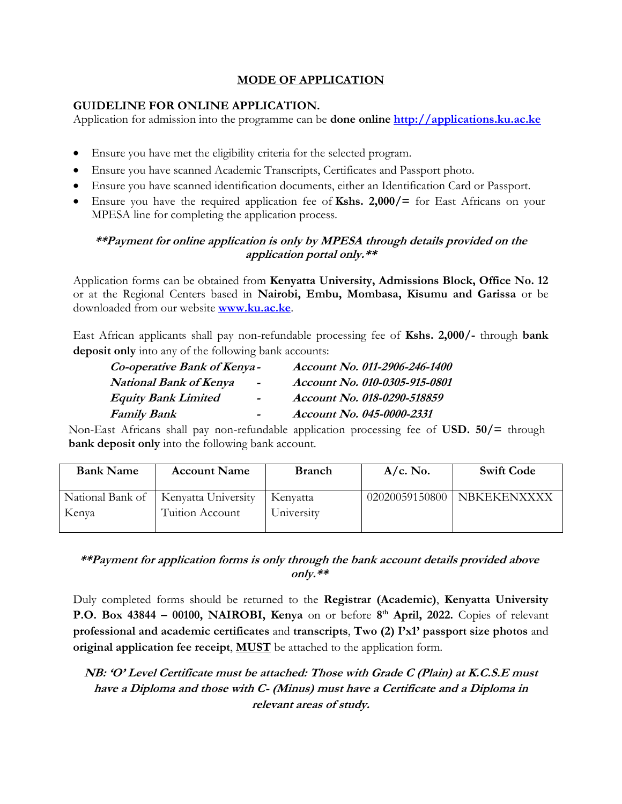### **MODE OF APPLICATION**

### **GUIDELINE FOR ONLINE APPLICATION.**

Application for admission into the programme can be **done online [http://applications.ku.ac.ke](http://applications.ku.ac.ke/)**

- Ensure you have met the eligibility criteria for the selected program.
- Ensure you have scanned Academic Transcripts, Certificates and Passport photo.
- Ensure you have scanned identification documents, either an Identification Card or Passport.
- Ensure you have the required application fee of **Kshs. 2,000/=** for East Africans on your MPESA line for completing the application process.

# **\*\*Payment for online application is only by MPESA through details provided on the application portal only.\*\***

Application forms can be obtained from **Kenyatta University, Admissions Block, Office No. 12** or at the Regional Centers based in **Nairobi, Embu, Mombasa, Kisumu and Garissa** or be downloaded from our website **[www.ku.ac.ke](http://www.ku.ac.ke/)**.

East African applicants shall pay non-refundable processing fee of **Kshs. 2,000/-** through **bank deposit only** into any of the following bank accounts:

| Account No. 011-2906-246-1400 |
|-------------------------------|
| Account No. 010-0305-915-0801 |
| Account No. 018-0290-518859   |
| Account No. 045-0000-2331     |
|                               |

Non-East Africans shall pay non-refundable application processing fee of **USD. 50/=** through **bank deposit only** into the following bank account.

| <b>Bank Name</b> | <b>Account Name</b>                                       | <b>Branch</b>          | $A/c.$ No.     | <b>Swift Code</b> |
|------------------|-----------------------------------------------------------|------------------------|----------------|-------------------|
| Kenya            | National Bank of   Kenyatta University<br>Tuition Account | Kenyatta<br>University | 02020059150800 | NBKEKENXXXX       |

# **\*\*Payment for application forms is only through the bank account details provided above only.\*\***

Duly completed forms should be returned to the **Registrar (Academic)**, **Kenyatta University P.O. Box 43844 – 00100, NAIROBI, Kenya** on or before **8 th April, 2022.** Copies of relevant **professional and academic certificates** and **transcripts**, **Two (2) I'x1' passport size photos** and **original application fee receipt**, **MUST** be attached to the application form.

# **NB: 'O' Level Certificate must be attached: Those with Grade C (Plain) at K.C.S.E must have a Diploma and those with C- (Minus) must have a Certificate and a Diploma in relevant areas of study.**